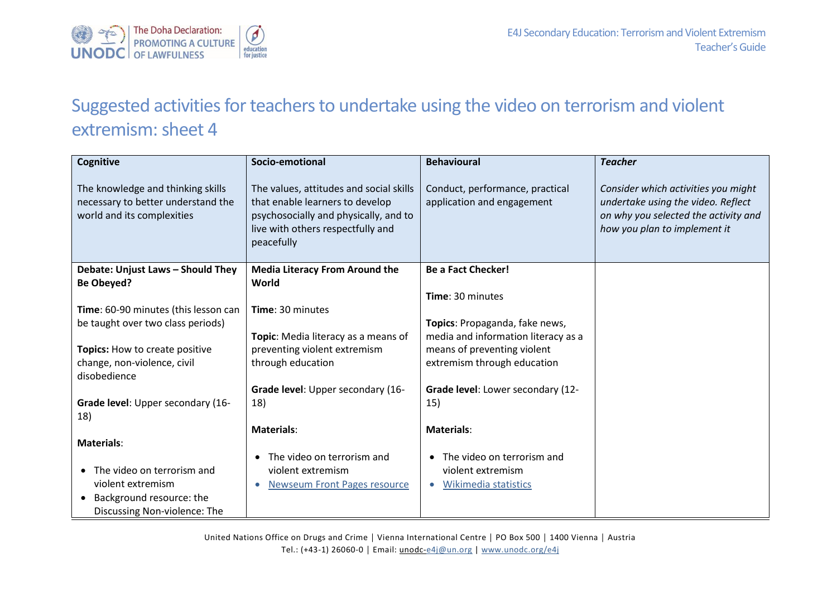

## Suggested activities for teachers to undertake using the video on terrorism and violent extremism: sheet 4

| Cognitive                                                                                             | Socio-emotional                                                                                                                                                        | <b>Behavioural</b>                                            | <b>Teacher</b>                                                                                                                                    |
|-------------------------------------------------------------------------------------------------------|------------------------------------------------------------------------------------------------------------------------------------------------------------------------|---------------------------------------------------------------|---------------------------------------------------------------------------------------------------------------------------------------------------|
| The knowledge and thinking skills<br>necessary to better understand the<br>world and its complexities | The values, attitudes and social skills<br>that enable learners to develop<br>psychosocially and physically, and to<br>live with others respectfully and<br>peacefully | Conduct, performance, practical<br>application and engagement | Consider which activities you might<br>undertake using the video. Reflect<br>on why you selected the activity and<br>how you plan to implement it |
| Debate: Unjust Laws - Should They<br><b>Be Obeyed?</b>                                                | <b>Media Literacy From Around the</b><br>World                                                                                                                         | <b>Be a Fact Checker!</b>                                     |                                                                                                                                                   |
|                                                                                                       |                                                                                                                                                                        | Time: 30 minutes                                              |                                                                                                                                                   |
| Time: 60-90 minutes (this lesson can                                                                  | Time: 30 minutes                                                                                                                                                       |                                                               |                                                                                                                                                   |
| be taught over two class periods)                                                                     |                                                                                                                                                                        | Topics: Propaganda, fake news,                                |                                                                                                                                                   |
|                                                                                                       | Topic: Media literacy as a means of                                                                                                                                    | media and information literacy as a                           |                                                                                                                                                   |
| Topics: How to create positive                                                                        | preventing violent extremism                                                                                                                                           | means of preventing violent                                   |                                                                                                                                                   |
| change, non-violence, civil<br>disobedience                                                           | through education                                                                                                                                                      | extremism through education                                   |                                                                                                                                                   |
|                                                                                                       | Grade level: Upper secondary (16-                                                                                                                                      | Grade level: Lower secondary (12-                             |                                                                                                                                                   |
| Grade level: Upper secondary (16-<br>18)                                                              | 18)                                                                                                                                                                    | 15)                                                           |                                                                                                                                                   |
|                                                                                                       | <b>Materials:</b>                                                                                                                                                      | <b>Materials:</b>                                             |                                                                                                                                                   |
| <b>Materials:</b>                                                                                     |                                                                                                                                                                        |                                                               |                                                                                                                                                   |
|                                                                                                       | The video on terrorism and                                                                                                                                             | The video on terrorism and<br>$\bullet$                       |                                                                                                                                                   |
| The video on terrorism and                                                                            | violent extremism                                                                                                                                                      | violent extremism                                             |                                                                                                                                                   |
| violent extremism                                                                                     | <b>Newseum Front Pages resource</b>                                                                                                                                    | Wikimedia statistics<br>$\bullet$                             |                                                                                                                                                   |
| Background resource: the<br>$\bullet$                                                                 |                                                                                                                                                                        |                                                               |                                                                                                                                                   |
| Discussing Non-violence: The                                                                          |                                                                                                                                                                        |                                                               |                                                                                                                                                   |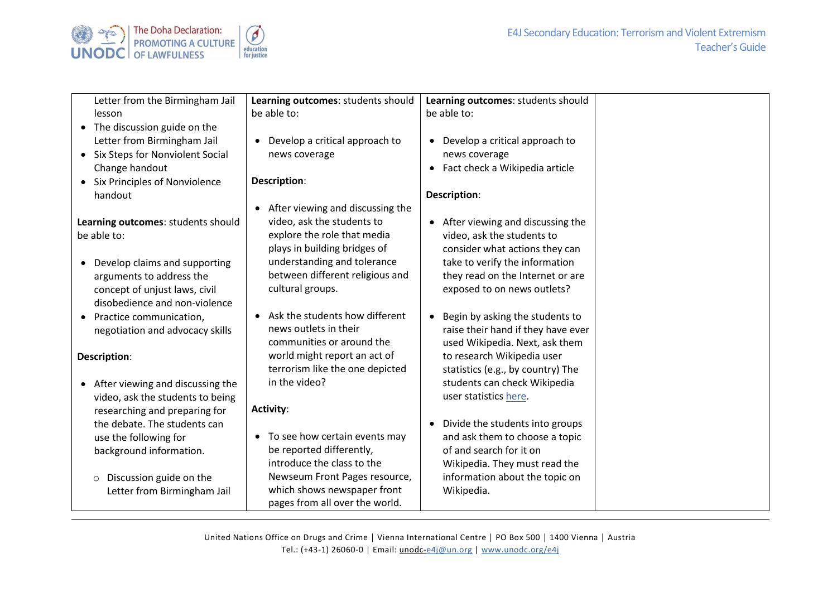

| Letter from the Birmingham Jail                                                                                                                       | Learning outcomes: students should                                                                                                                                                        | Learning outcomes: students should                                                                                                                                            |  |
|-------------------------------------------------------------------------------------------------------------------------------------------------------|-------------------------------------------------------------------------------------------------------------------------------------------------------------------------------------------|-------------------------------------------------------------------------------------------------------------------------------------------------------------------------------|--|
| lesson                                                                                                                                                | be able to:                                                                                                                                                                               | be able to:                                                                                                                                                                   |  |
| • The discussion guide on the<br>Letter from Birmingham Jail<br>• Six Steps for Nonviolent Social<br>Change handout                                   | Develop a critical approach to<br>$\bullet$<br>news coverage                                                                                                                              | Develop a critical approach to<br>$\bullet$<br>news coverage<br>Fact check a Wikipedia article<br>$\bullet$                                                                   |  |
| • Six Principles of Nonviolence                                                                                                                       | Description:                                                                                                                                                                              |                                                                                                                                                                               |  |
| handout                                                                                                                                               |                                                                                                                                                                                           | Description:                                                                                                                                                                  |  |
| Learning outcomes: students should<br>be able to:<br>Develop claims and supporting                                                                    | After viewing and discussing the<br>$\bullet$<br>video, ask the students to<br>explore the role that media<br>plays in building bridges of<br>understanding and tolerance                 | After viewing and discussing the<br>$\bullet$<br>video, ask the students to<br>consider what actions they can<br>take to verify the information                               |  |
| arguments to address the<br>concept of unjust laws, civil<br>disobedience and non-violence                                                            | between different religious and<br>cultural groups.<br>Ask the students how different                                                                                                     | they read on the Internet or are<br>exposed to on news outlets?<br>Begin by asking the students to<br>$\bullet$                                                               |  |
| • Practice communication,<br>negotiation and advocacy skills                                                                                          | news outlets in their<br>communities or around the                                                                                                                                        | raise their hand if they have ever<br>used Wikipedia. Next, ask them                                                                                                          |  |
| Description:                                                                                                                                          | world might report an act of<br>terrorism like the one depicted                                                                                                                           | to research Wikipedia user<br>statistics (e.g., by country) The                                                                                                               |  |
| • After viewing and discussing the<br>video, ask the students to being<br>researching and preparing for                                               | in the video?<br><b>Activity:</b>                                                                                                                                                         | students can check Wikipedia<br>user statistics here.                                                                                                                         |  |
| the debate. The students can<br>use the following for<br>background information.<br>Discussion guide on the<br>$\circ$<br>Letter from Birmingham Jail | To see how certain events may<br>be reported differently,<br>introduce the class to the<br>Newseum Front Pages resource,<br>which shows newspaper front<br>pages from all over the world. | Divide the students into groups<br>and ask them to choose a topic<br>of and search for it on<br>Wikipedia. They must read the<br>information about the topic on<br>Wikipedia. |  |

United Nations Office on Drugs and Crime │ Vienna International Centre │ PO Box 500 │ 1400 Vienna │ Austria Tel.: (+43-1) 26060-0 **│** Email: unodc[-e4j@un.org](mailto:e4j@un.org) | [www.unodc.org/e4j](http://www.unodc.org/e4j)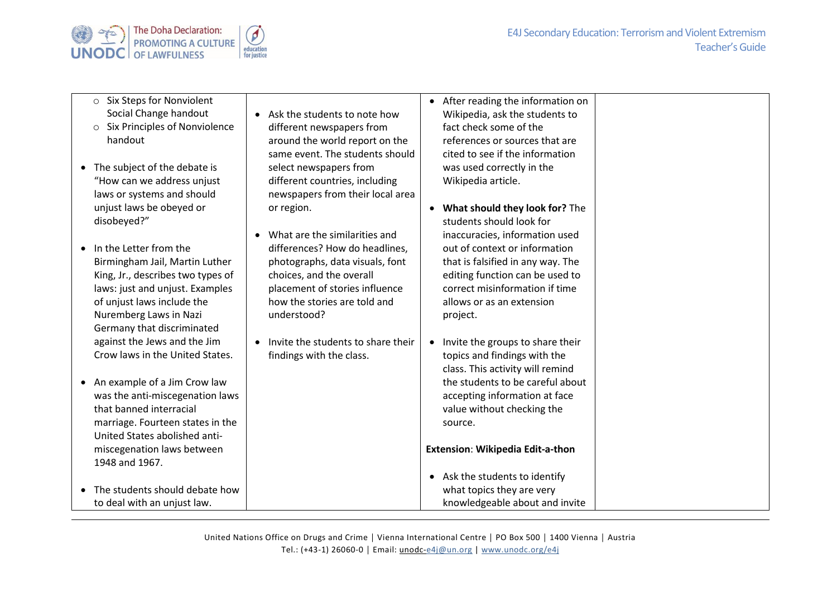



- o Six Steps for Nonviolent Social Change handout
- o Six Principles of Nonviolence handout
- The subject of the debate is "How can we address unjust laws or systems and should unjust laws be obeyed or disobeyed?"
- In the Letter from the Birmingham Jail, Martin Luther King, Jr., describes two types of laws: just and unjust. Examples of unjust laws include the Nuremberg Laws in Nazi Germany that discriminated against the Jews and the Jim Crow laws in the United States.
- An example of a Jim Crow law was the anti-miscegenation laws that banned interracial marriage. Fourteen states in the United States abolished antimiscegenation laws between 1948 and 1967.
- The students should debate how to deal with an unjust law.
- Ask the students to note how different newspapers from around the world report on the same event. The students should select newspapers from different countries, including newspapers from their local area or region.
- What are the similarities and differences? How do headlines, photographs, data visuals, font choices, and the overall placement of stories influence how the stories are told and understood?
- Invite the students to share their findings with the class.

• After reading the information on Wikipedia, ask the students to fact check some of the references or sources that are cited to see if the information was used correctly in the

Wikipedia article.

- **What should they look for?** The students should look for inaccuracies, information used out of context or information that is falsified in any way. The editing function can be used to correct misinformation if time allows or as an extension project.
- Invite the groups to share their topics and findings with the class. This activity will remind the students to be careful about accepting information at face value without checking the source.

## **Extension**: **Wikipedia Edit-a-thon**

• Ask the students to identify what topics they are very knowledgeable about and invite